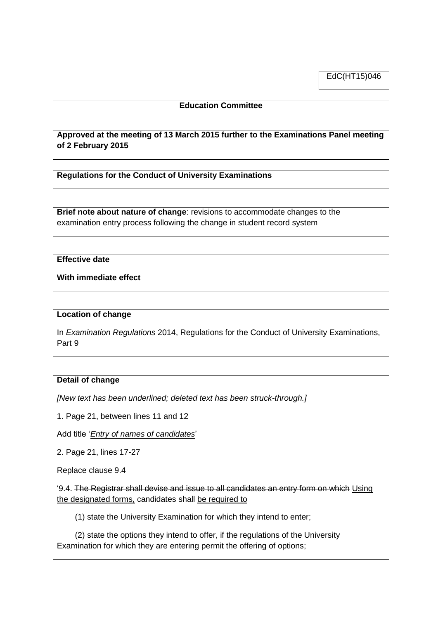EdC(HT15)046

# **Education Committee**

# **Approved at the meeting of 13 March 2015 further to the Examinations Panel meeting of 2 February 2015**

**Regulations for the Conduct of University Examinations**

**Brief note about nature of change**: revisions to accommodate changes to the examination entry process following the change in student record system

## **Effective date**

**With immediate effect**

#### **Location of change**

In *Examination Regulations* 2014, Regulations for the Conduct of University Examinations, Part 9

#### **Detail of change**

*[New text has been underlined; deleted text has been struck-through.]*

1. Page 21, between lines 11 and 12

Add title '*Entry of names of candidates*'

2. Page 21, lines 17-27

Replace clause 9.4

'9.4. The Registrar shall devise and issue to all candidates an entry form on which Using the designated forms, candidates shall be required to

(1) state the University Examination for which they intend to enter;

 (2) state the options they intend to offer, if the regulations of the University Examination for which they are entering permit the offering of options;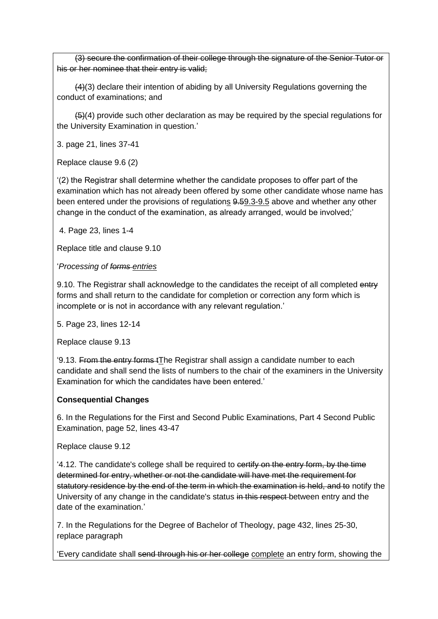(3) secure the confirmation of their college through the signature of the Senior Tutor or his or her nominee that their entry is valid;

 (4)(3) declare their intention of abiding by all University Regulations governing the conduct of examinations; and

 $(5)(4)$  provide such other declaration as may be required by the special regulations for the University Examination in question.'

3. page 21, lines 37-41

Replace clause 9.6 (2)

'(2) the Registrar shall determine whether the candidate proposes to offer part of the examination which has not already been offered by some other candidate whose name has been entered under the provisions of regulations 9.59.3-9.5 above and whether any other change in the conduct of the examination, as already arranged, would be involved;'

4. Page 23, lines 1-4

Replace title and clause 9.10

### '*Processing of forms entries*

9.10. The Registrar shall acknowledge to the candidates the receipt of all completed entry forms and shall return to the candidate for completion or correction any form which is incomplete or is not in accordance with any relevant regulation.'

5. Page 23, lines 12-14

Replace clause 9.13

'9.13. From the entry forms tThe Registrar shall assign a candidate number to each candidate and shall send the lists of numbers to the chair of the examiners in the University Examination for which the candidates have been entered.'

# **Consequential Changes**

6. In the Regulations for the First and Second Public Examinations, Part 4 Second Public Examination, page 52, lines 43-47

Replace clause 9.12

4.12. The candidate's college shall be required to certify on the entry form, by the time determined for entry, whether or not the candidate will have met the requirement for statutory residence by the end of the term in which the examination is held, and to notify the University of any change in the candidate's status in this respect-between entry and the date of the examination.'

7. In the Regulations for the Degree of Bachelor of Theology, page 432, lines 25-30, replace paragraph

'Every candidate shall send through his or her college complete an entry form, showing the